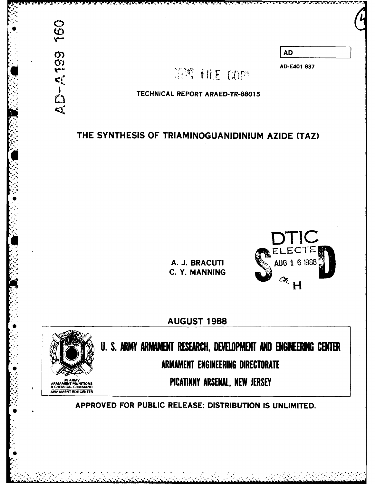

## THE **SYNTHESIS** OF **TRIAMINOGUANIDINIUM** AZIDE (TAZ)





**AUGUST 1988**



**ARMAMENT ROE CENTER**

**U. S. ARMY ARMAMENT RESEARCH, DEVELOPMENT AND ENGINEERING CENTER** ARMAMENT ENGINEERING DIRECTORATE

APPROVED FOR **PUBLIC RELEASE; DISTRIBUTION IS UNLIMITED.**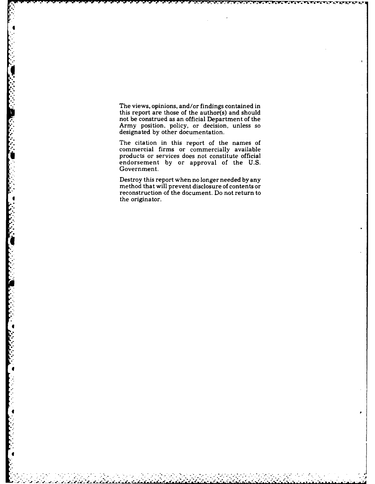The views, opinions, and/or findings contained in this report are those of the author(s) and should not be construed as an official Department of the Army position, policy, or decision, unless so designated **by** other documentation.

The citation in this report of the names of commercial firms or commercially available products or services does not constitute official endorsement **by** or approval of the **U.S.** Government.

Destroy this report when no longer needed **by** any method that will prevent disclosure of contents or reconstruction of the document. Do not return to the originator.

 $\ddot{\phantom{a}}$ 

**I-:**

4

°.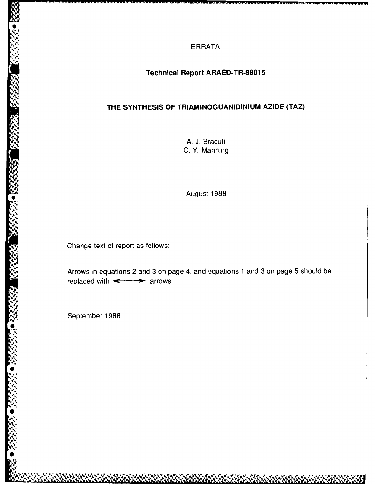**ERRATA**

## **Technical Report ARAED-TR-88015**

# **THE SYNTHESIS OF TRIAMINOGUANIDINIUM AZIDE (TAZ)**

**A. J.** Bracuti C. Y. Manning

August 1988

Change text of report as follows:

Arrows in equations *2* and **3** on page 4, and equations **1** and **3** on page **5** should be replaced with  $\leftarrow$  arrows.

September 1988

**'I**

**\*.:**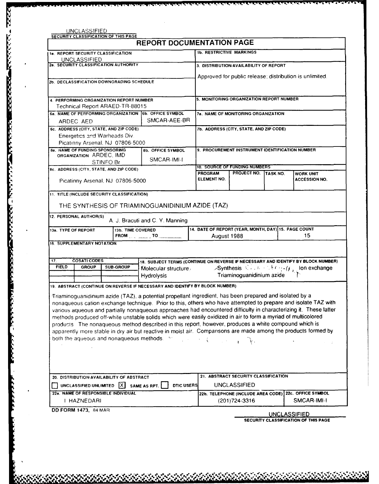|              |                                                                                              |                  |                   | <b>REPORT DOCUMENTATION PAGE</b>                                                                                                                                                                                                                                                                                                                                                                                                                                                                                                                                                                                                                                                                                                                                      |            |                                 |                                                                              |  |                      |
|--------------|----------------------------------------------------------------------------------------------|------------------|-------------------|-----------------------------------------------------------------------------------------------------------------------------------------------------------------------------------------------------------------------------------------------------------------------------------------------------------------------------------------------------------------------------------------------------------------------------------------------------------------------------------------------------------------------------------------------------------------------------------------------------------------------------------------------------------------------------------------------------------------------------------------------------------------------|------------|---------------------------------|------------------------------------------------------------------------------|--|----------------------|
|              | 18. REPORT SECURITY CLASSIFICATION                                                           |                  |                   |                                                                                                                                                                                                                                                                                                                                                                                                                                                                                                                                                                                                                                                                                                                                                                       |            | <b>1b. RESTRICTIVE MARKINGS</b> |                                                                              |  |                      |
|              | UNCLASSIFIED<br>26. SECURITY CLASSIFICATION AUTHORITY                                        |                  |                   |                                                                                                                                                                                                                                                                                                                                                                                                                                                                                                                                                                                                                                                                                                                                                                       |            |                                 | 3. DISTRIBUTION/AVAILABILITY OF REPORT                                       |  |                      |
|              |                                                                                              |                  |                   |                                                                                                                                                                                                                                                                                                                                                                                                                                                                                                                                                                                                                                                                                                                                                                       |            |                                 |                                                                              |  |                      |
|              | 2b. DECLASSIFICATION DOWNGRADING SCHEDULE                                                    |                  |                   |                                                                                                                                                                                                                                                                                                                                                                                                                                                                                                                                                                                                                                                                                                                                                                       |            |                                 | Approved for public release; distribution is unlimited.                      |  |                      |
|              | 4. PERFORMING ORGANIZATION REPORT NUMBER                                                     |                  |                   |                                                                                                                                                                                                                                                                                                                                                                                                                                                                                                                                                                                                                                                                                                                                                                       |            |                                 | 5. MONITORING ORGANIZATION REPORT NUMBER                                     |  |                      |
|              | Technical Report ARAED-TR-88015                                                              |                  |                   |                                                                                                                                                                                                                                                                                                                                                                                                                                                                                                                                                                                                                                                                                                                                                                       |            |                                 |                                                                              |  |                      |
|              |                                                                                              |                  |                   | 68. NAME OF PERFORMING ORGANIZATION 6b. OFFICE SYMBOL                                                                                                                                                                                                                                                                                                                                                                                                                                                                                                                                                                                                                                                                                                                 |            |                                 | <b>78. NAME OF MONITORING ORGANIZATION</b>                                   |  |                      |
|              | ARDEC, AED                                                                                   |                  |                   | SMCAR-AEE-BR                                                                                                                                                                                                                                                                                                                                                                                                                                                                                                                                                                                                                                                                                                                                                          |            |                                 |                                                                              |  |                      |
|              | 6c. ADDRESS (CITY, STATE, AND ZIP CODE)                                                      |                  |                   |                                                                                                                                                                                                                                                                                                                                                                                                                                                                                                                                                                                                                                                                                                                                                                       |            |                                 | 7b. ADDRESS (CITY, STATE, AND ZIP CODE)                                      |  |                      |
|              | Energetics and Warheads Div.                                                                 |                  |                   |                                                                                                                                                                                                                                                                                                                                                                                                                                                                                                                                                                                                                                                                                                                                                                       |            |                                 |                                                                              |  |                      |
|              | Picatinny Arsenal, NJ 07806-5000                                                             |                  |                   |                                                                                                                                                                                                                                                                                                                                                                                                                                                                                                                                                                                                                                                                                                                                                                       |            |                                 |                                                                              |  |                      |
|              | <b>88. NAME OF FUNDING SPONSORING</b><br>ORGANIZATION ARDEC, IMD                             |                  |                   | 8b. OFFICE SYMBOL                                                                                                                                                                                                                                                                                                                                                                                                                                                                                                                                                                                                                                                                                                                                                     |            |                                 | 9. PROCUREMENT INSTRUMENT IDENTIFICATION NUMBER                              |  |                      |
|              |                                                                                              | STINFO Br        |                   | SMCAR-IMI-I                                                                                                                                                                                                                                                                                                                                                                                                                                                                                                                                                                                                                                                                                                                                                           |            |                                 |                                                                              |  |                      |
|              | 8c. ADDRESS (CITY, STATE, AND ZIP CODE)                                                      |                  |                   |                                                                                                                                                                                                                                                                                                                                                                                                                                                                                                                                                                                                                                                                                                                                                                       |            |                                 | 10. SOURCE OF FUNDING NUMBERS                                                |  |                      |
|              |                                                                                              |                  |                   |                                                                                                                                                                                                                                                                                                                                                                                                                                                                                                                                                                                                                                                                                                                                                                       |            | <b>PROGRAM</b>                  | PROJECT NO. TASK NO.                                                         |  | <b>WORK UNIT</b>     |
|              | Picatinny Arsenal, NJ 07806-5000                                                             |                  |                   |                                                                                                                                                                                                                                                                                                                                                                                                                                                                                                                                                                                                                                                                                                                                                                       |            | ELEMENT NO.                     |                                                                              |  | <b>ACCESSION NO.</b> |
|              | 11. TITLE (INCLUDE SECURITY CLASSIFICATION)<br>12. PERSONAL AUTHOR(S)<br>13a. TYPE OF REPORT |                  | 13b. TIME COVERED | THE SYNTHESIS OF TRIAMINOGUANIDINIUM AZIDE (TAZ)<br>A. J. Bracuti and C. Y. Manning<br>FROM  ________ TO ________                                                                                                                                                                                                                                                                                                                                                                                                                                                                                                                                                                                                                                                     |            | August 1988                     | 14. DATE OF REPORT (YEAR, MONTH, DAY) 15. PAGE COUNT                         |  | 15                   |
|              | <b>16. SUPPLEMENTARY NOTATION</b>                                                            |                  |                   |                                                                                                                                                                                                                                                                                                                                                                                                                                                                                                                                                                                                                                                                                                                                                                       |            |                                 |                                                                              |  |                      |
| 17.          | <b>COSATI CODES</b>                                                                          |                  |                   | 18. SUBJECT TERMS (CONTINUE ON REVERSE IF NECESSARY AND IDENTIFY BY BLOCK NUMBER)                                                                                                                                                                                                                                                                                                                                                                                                                                                                                                                                                                                                                                                                                     |            |                                 |                                                                              |  |                      |
| <b>FIELD</b> | <b>GROUP</b>                                                                                 | <b>SUB-GROUP</b> |                   | Molecular structure                                                                                                                                                                                                                                                                                                                                                                                                                                                                                                                                                                                                                                                                                                                                                   |            |                                 | $\mathscr{S}$ ynthesis $\mathbb{C}$ . $n \geq 1$ (eq. (eq. ) on exchange     |  |                      |
|              |                                                                                              |                  |                   | <b>Hydrolysis</b><br>19. ABSTRACT (CONTINUE ON REVERSE IF NECESSARY AND IDENTIFY BY BLOCK NUMBER)                                                                                                                                                                                                                                                                                                                                                                                                                                                                                                                                                                                                                                                                     |            |                                 | Triaminoguanidinium azide                                                    |  |                      |
|              |                                                                                              |                  |                   | Triaminoguanidinium azide (TAZ), a potential propellant ingredient, has been prepared and isolated by a<br>nonaqueous cation exchange technique. Prior to this, others who have attempted to prepare and isolate TAZ with<br>various aqueous and partially nonaqueous approaches had encountered difficulty in characterizing it. These latter<br>methods produced off-white unstable solids which were easily oxidized in air to form a myriad of multicolored<br>products The nonaqueous method described in this report, however, produces a white compound which is<br>apparently more stable in dry air but reactive in moist air. Comparisons are made among the products formed by<br>both the aqueous and nonaqueous methods. The contract of the contract of |            |                                 | 21. ABSTRACT SECURITY CLASSIFICATION                                         |  |                      |
|              | 20. DISTRIBUTION AVAILABILITY OF ABSTRACT                                                    |                  |                   |                                                                                                                                                                                                                                                                                                                                                                                                                                                                                                                                                                                                                                                                                                                                                                       |            |                                 |                                                                              |  |                      |
|              | UNCLASSIFIED/UNLIMITED $[\overline{X}]$<br>22a. NAME OF RESPONSIBLE INDIVIDUAL               |                  |                   | SAME AS RPT.                                                                                                                                                                                                                                                                                                                                                                                                                                                                                                                                                                                                                                                                                                                                                          | DTIC USERS |                                 | <b>UNCLASSIFIED</b><br>22b. TELEPHONE (INCLUDE AREA CODE) 22c. OFFICE SYMBOL |  | $\alpha = 1/2$       |

ANALYSIN MARKARANG TANGGALANG KATANGGANG KATA TINGGANG KATANGGANG KATANGGANG KATANGGANG KATANGGANG KATANGGANG<br>Tanggang manalitan na manalita na manalita na manalita na manalita na manalita na manalita na manalita na mana

þ

-~ -~ . -r *IF* ~~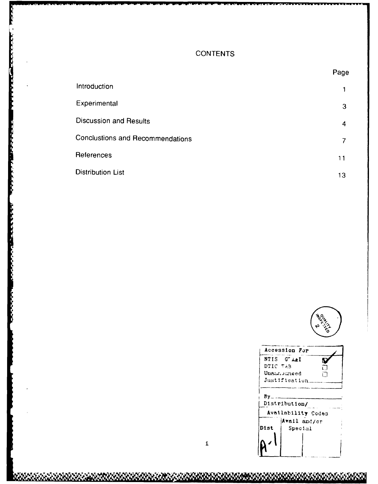## **CONTENTS**

|                                         | Page |
|-----------------------------------------|------|
| Introduction                            |      |
| Experimental                            | 3    |
| <b>Discussion and Results</b>           | 4    |
| <b>Conclustions and Recommendations</b> |      |
| References                              | 11   |
| Distribution List                       | 13   |
|                                         |      |



. . . . . . . . . . . .

|          | Accession For      |
|----------|--------------------|
|          | NTIS G'AAI         |
| DTIC TAB |                    |
|          | Unamisuneed        |
|          | Justification      |
|          |                    |
| Bγ       |                    |
|          | Distribution/      |
|          | Availability Codes |
|          | Avail and/or       |
| Dist     | Special            |
|          |                    |
|          |                    |
|          |                    |
|          |                    |

**KRARKARAN KANAN KANAN KANAN KANAN KANAN KANAN KANAN KANAN KANAN KANAN KANAN KANAN KANAN KANAN KANAN KANAN KAN**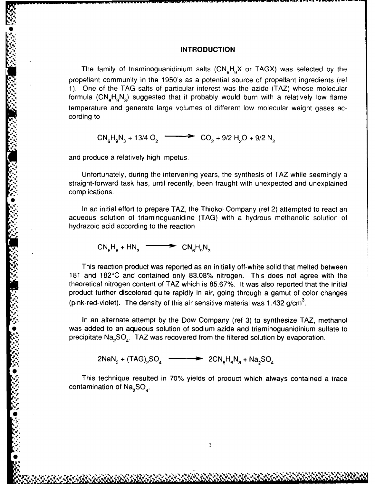#### **INTRODUCTION**

The family of triaminoguanidinium salts  $(CN_{\rm g}H_{\rm g}X$  or TAGX) was selected by the propellant community in the 1950's as a potential source of propellant ingredients (ref 1). One of the TAG salts of particular interest was the azide (TAZ) whose molecular formula  $(CN_{\rm s}H_{\rm s}N_{\rm a})$  suggested that it probably would burn with a relatively low flame temperature and generate large volumes of different low molecular weight gases according to

$$
CN_{6}H_{9}N_{3} + 13/4 O_{2} \longrightarrow CO_{2} + 9/2 H_{2}O + 9/2 N_{2}
$$

and produce a relatively high impetus.

Unfortunately, during the intervening years, the synthesis of TAZ while seemingly a straight-forward task has, until recently, been fraught with unexpected and unexplained complications.

In an initial effort to prepare TAZ, the Thiokol Company (ref 2) attempted to react an **Ia..** aqueous solution of triaminoguanidine (TAG) with a hydrous methanolic solution of hydrazoic acid according to the reaction

$$
CN_{6}H_{8} + HN_{3} \xrightarrow{\qquad} CN_{6}H_{9}N_{3}
$$

This reaction product was reported as an initially off-white solid that melted between 181 and 182°C and contained only 83.08% nitrogen. This does not agree with the theoretical nitrogen content of TAZ which is 85.67%. It was also reported that the initial (pink-red-violet). The density of this air sensitive material was 1.432  $g/cm<sup>3</sup>$ .

product further discolored quite rapidly in air, going through a gamut of color changes<br>
(pink-red-violet). The density of this air sensitive material was 1.432 g/cm<sup>3</sup>.<br>
In an alternate attempt by the Dow Company (ref 3) In an alternate attempt by the Dow Company (ref 3) to synthesize TAZ, methanol was added to an aqueous solution of sodium azide and triaminoguanidinium sulfate to precipitate  $\text{Na}_2\text{SO}_4$ . TAZ was recovered from the filtered solution by evaporation.

 $2NaN_3 + (TAG)_{2}SO_4$   $\longrightarrow$   $2CN_6H_6N_3 + Na_{2}SO_4$ 

a. This technique resulted in **70%** yields of product which always contained a trace contamination of  $Na<sub>2</sub>SO<sub>4</sub>$ .

 $\mathbf{1}$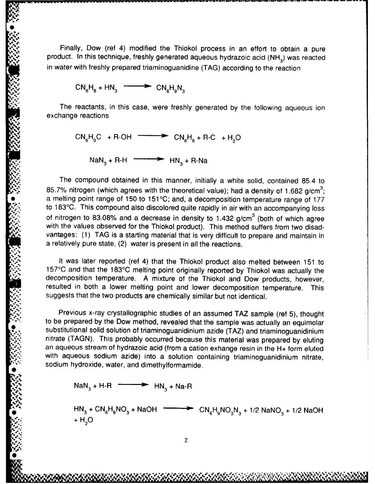Finally, Dow (ref 4) modified the Thiokol process in an effort to obtain a pure product. In this technique, freshly generated aqueous hydrazoic acid (NH<sub>3</sub>) was reacted in water with freshly prepared triaminoguanidine (TAG) according to the reaction

$$
CN_{6}H_{8} + HN_{3} \longrightarrow CN_{6}H_{9}N_{3}
$$

The reactants, in this case, were freshly generated by the following aqueous ion exchange reactions

 $CN_{6}H_{9}C + R\text{-OH}$   $\longrightarrow$   $CN_{6}H_{8} + R\text{-}C + H_{2}O$ 

 $NaN<sub>3</sub> + R-H$   $\longrightarrow$   $HN<sub>3</sub> + R-Na$ 

The compound obtained in this manner, initially a white solid, contained 85.4 to 85.7% nitrogen (which agrees with the theoretical value); had a density of 1.682 g/cm<sup>3</sup>; a melting point range of 150 to 151°C; and, a decomposition temperature range of 177 to 183°C. This compound also discolored quite rapidly in air with an accompanying loss of nitrogen to 83.08% and a decrease in density to 1.432 g/cm<sup>3</sup> (both of which agree with the values observed for the Thiokol product). This method suffers from two disadvantages: (1) **TAG** is a starting material that is very difficult to prepare and maintain in a relatively pure state, (2) water is present in all the reactions.

It was later reported (ref 4) that the Thiokol product also melted between 151 to **157°C** and that the 183°C melting point originally reported by Thiokol was actually the decomposition temperature. A mixture of the Thiokol and Dow products, however, resulted in both a lower melting point and lower decomposition temperature. This suggests that the two products are chemically similar but not identical.

Previous x-ray crystallographic studies of an assumed TAZ sample (ref 5), thought to be prepared by the Dow method, revealed that the sample was actually an equimolar substitutional solid solution of triaminoguanidinium azide (TAZ) and triaminoguanidinium nitrate (TAGN). This probably occurred because this material was prepared by eluting an aqueous stream of hydrazoic acid (from a cation exhange resin in the H+ form eluted with aqueous sodium azide) into a solution containing triaminoguanidinium nitrate, sodium hydroxide, water, and dimethylformamide.

 $NaN<sub>3</sub> + H-R$   $\longrightarrow$   $HN<sub>3</sub> + Na-R$ 

 $HN<sub>3</sub> + CN<sub>6</sub>H<sub>9</sub>NO<sub>3</sub> + NaOH$   $\longrightarrow$   $\longrightarrow$   $CN<sub>c</sub>H<sub>9</sub>NO<sub>2</sub>N<sub>2</sub> + 1/2 NaOH$ **", ','+** H **0**  $+H<sub>2</sub>O$ 

*Al?2*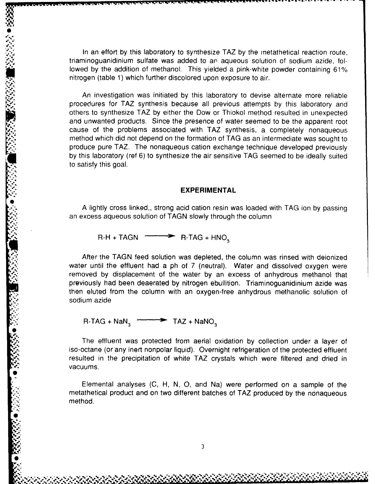In an effort by this laboratory to synthesize TAZ by the metathetical reaction route, triaminoguanidinium sulfate was added to an aqueous solution of sodium azide, followed by the addition of methanol. This yielded a pink-white powder containing 61% nitrogen (table 1) which further discolored upon exposure to air.

An investigation was initiated by this laboratory to devise alternate more reliable procedures for TAZ synthesis because all previous attempts by this laboratory and others to synthesize TAZ by either the Dow or Thiokol method resulted in unexpected and unwanted products. Since the presence of water seemed to be the apparent root cause of the problems associated with TAZ synthesis, a completely nonaqueous method which did not depend on the formation of TAG as an intermediate was sought to produce pure TAZ. The nonaqueous cation exchange technique developed previously by this laboratory (ref 6) to synthesize the air sensitive TAG seemed to be ideally suited to satisfy this goal.

#### **EXPERIMENTAL**

A lightly cross linked,, strong acid cation resin was loaded with TAG ion by passing an excess aqueous solution of TAGN slowly through the column

 $R-H + TAGN$   $\longrightarrow$  R-TAG + HNO

**fl** ~ ~ ~ **lW 1'1%lVP** ~ **w-w--** ~ **J r** 16Z **. <sup>W</sup>9 <sup>t</sup>***~..* .' - **- <sup>X</sup>t .9**

After the TAGN feed solution was depleted, the column was rinsed with deionized water until the effluent had a ph of 7 (neutral). Water and dissolved oxygen were removed by displacement of the water by an excess of anhydrous methanol that previously had been deaerated by nitrogen ebullition. Triaminoguanidinium azide was then eluted from the column with an oxygen-free anhydrous methanolic solution of sodium azide

 $R\text{-}TAG + \text{NaN}_3 \xrightarrow{\sim} TAG + \text{NANO}_3$ 

The effluent was protected from aerial oxidation by collection under a layer of iso-octane (or any inert nonpolar liquid). Overnight refrigeration of the protected effluent resulted in the precipitation of white TAZ crystals which were filtered and dried in vacuums.

Elemental analyses (C, H, N, **0,** and Na) were performed on a sample of the metathetical product and on two different batches of TAZ produced by the nonaqueous method.

LIC *;*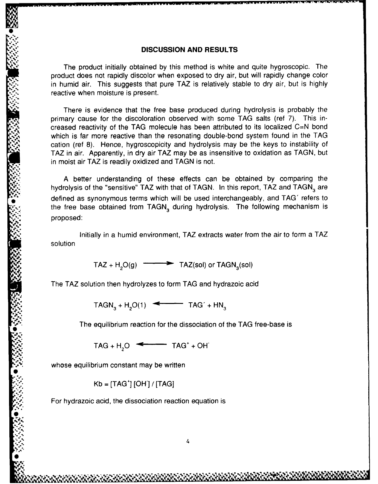#### **DISCUSSION AND RESULTS**

**'** The product initially obtained **by** this method is white and quite hygroscopic. The product does not rapidly discolor when exposed to dry air, but will rapidly change color in humid air. This suggests that pure TAZ is relatively stable to dry air, but is highly reactive when moisture is present.

There is evidence that the free base produced during hydrolysis is probably the primary cause for the discoloration observed with some TAG salts (ref 7). This increased reactivity of the TAG molecule has been attributed to its localized C=N bond which is far more reactive than the resonating double-bond system found in the TAG cation (ref 8). Hence, hygroscopicity and hydrolysis may be the keys to instability of TAZ in air. Apparently, in dry air TAZ may be as insensitive to oxidation as TAGN, but in moist air TAZ is readily oxidized and TAGN is not.

A better understanding of these effects can be obtained by comparing the hydrolysis of the "sensitive" TAZ with that of TAGN. In this report, TAZ and TAGN, are defined as synonymous terms which will be used interchangeably, and TAG' refers to the free base obtained from TAGN<sub>3</sub> during hydrolysis. The following mechanism is proposed:

Initially in a humid environment, TAZ extracts water from the air to form a TAZ solution

 $TAZ + H<sub>2</sub>O(g)$   $\longrightarrow$  TAZ(sol) or TAGN<sub>3</sub>(sol)

The TAZ solution then hydrolyzes to form TAG and hydrazoic acid

 $TAGN_2 + H_2O(1)$   $\longleftarrow$   $TAG' + HN_3$ 

The equilibrium reaction for the dissociation of the TAG free-base is

 $TAG + H_2O \leftarrow TAG' + OH$ 

whose equilibrium constant may be written

**.j4**

a',,,, ' **Is**

Kb = [TAG+] [OH] */* [TAG]

For hydrazoic acid, the dissociation reaction equation is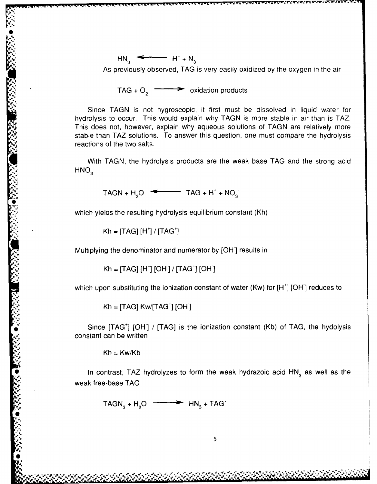$HN_3 \xrightarrow{\longleftarrow} H^+ + N_3$ As previously observed, TAG is very easily oxidized by the oxygen in the air

TAG +  $O_2$   $\longrightarrow$  **oxidation products** 

*-wQ* **-w SWC' q -Y -v** W7 j-r -U WV **VV** R **Rsr**

Since TAGN is not hygroscopic, it first must be dissolved in liquid water for hydrolysis to occur. This would explain why TAGN is more stable in air than is TAZ. This does not, however, explain why aqueous solutions of TAGN are relatively more stable than TAZ solutions. To answer this question, one must compare the hydrolysis reactions of the two salts.

With TAGN, the hydrolysis products are the weak base TAG and the strong acid  $HNO<sub>3</sub>$ 

 $TAGN + H_2O$   $\longleftarrow$   $TAG + H^+ + NO_3$ 

which yields the resulting hydrolysis equilibrium constant (Kh)

Kh = **[TAG]** [H<sup>+</sup>] / **[TAG**<sup>+</sup>

**4-..**

**..**

Multiplying the denominator and numerator by [OH] results in

 $Kh = [TAG] [H'] [OH'] / [TAG'] [OH]$ 

which upon substituting the ionization constant of water (Kw) for  $[H^+]$  [OH] reduces to

 $\mathsf{Kh} = [\mathsf{TAGl}\;\mathsf{Kw}/[\mathsf{TAG}^*]\;\mathsf{IOH}^*]$ 

constant can be written

 $Kh = Kw/Kb$ 

\* Since [TAG<sup>+</sup>] [OH<sup>-</sup>] */* [TAG<sup>+</sup>] [OH<sup>-</sup>] *Since* [TAG<sup>+</sup>] [OH<sup>-</sup>] Since [TAG<sup>+</sup>] [OH<sup>-</sup>] */* [TAG<sup>+</sup>] [OH<sup>-</sup>] */* [TAG<sup>+</sup>] [OH<sup>-</sup>] */* [TAG<sup>+</sup>] [OH<sup>-</sup>] */* [TAG<sup>+</sup>] [OH<sup>-</sup>] */* [TAG<sup>+</sup>] [OH<sup>-</sup>] */* [TAG<sup>+</sup>] [OH<sup>-</sup>] In contrast, TAZ hydrolyzes to form the weak hydrazoic acid  $HN<sub>3</sub>$  as well as the weak free-base TAG

 $TAGN_3 + H_2O \longrightarrow HN_3 + TAG'$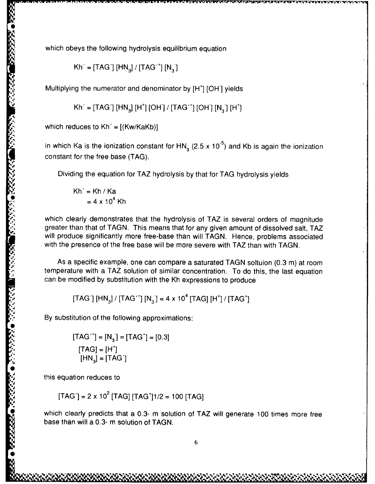which obeys the following hydrolysis equilibrium equation

$$
Kh' = [TAG'] [HN3] / [TAG'] [N3]
$$

Multiplying the numerator and denominator by  $[H^+]$  [OH] yields

$$
Kh' = [TAG'] [HN_3] [H'] [OH'] / [TAG'] [OH] [N_3] [H']
$$

which reduces to  $Kh' = [(Kw/KaKb)]$ 

in which Ka is the ionization constant for **HN,** (2.5 x **10-<sup>5</sup>)** and Kb is again the ionization constant for the free base (TAG).

Dividing the equation for TAZ hydrolysis by that for TAG hydrolysis yields

$$
Kh' = Kh / Ka
$$

$$
= 4 \times 10^4 Kh
$$

which clearly demonstrates that the hydrolysis of TAZ is several orders of magnitude greater than that of TAGN. This means that for any given amount of dissolved salt, TAZ will produce significantly more free-base than will TAGN. Hence, problems associated with the presence of the free base will be more severe with TAZ than with TAGN.

As a specific example, one can compare a saturated TAGN soltuion (0.3 m) at room temperature with a TAZ solution of similar concentration. To do this, the last equation can be modified by substitution with the Kh expressions to produce

[TAG'] [HN 3] **/** [TAG' " ] **[N3-]** = 4 x **104** [TAG] [H<sup>+</sup> ] /[TAG +]

By substitution of the following approximations:

$$
[TAG+] = [N3] = [TAG+] = [0.3]
$$
  
[TAG] = [H<sup>+</sup>]  
[HN<sub>3</sub>] = [TAG<sup>-</sup>]

this equation reduces to

**SECTION CONTROLS AND SECURED** 

 $[TAG'] = 2 \times 10^2$   $[TAG]$   $[TAG'$  $1/2 = 100$   $[TAG]$ 

which clearly predicts that a 0.3- m solution of TAZ will generate 100 times more free base than will a 0.3- m solution of TAGN.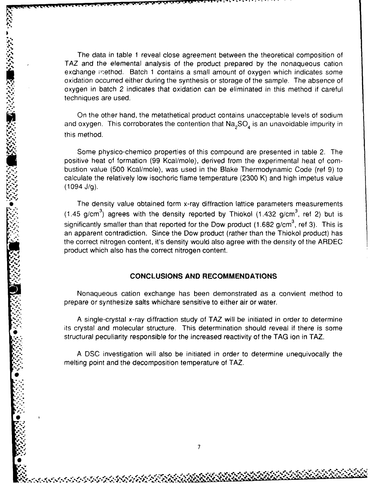The data in table 1 reveal close agreement between the theoretical composition of TAZ and the elemental analysis of the product prepared by the nonaqueous cation exchange method. Batch 1 contains a small amount of oxygen which indicates some oxidation occurred either during the synthesis or storage of the sample. The absence of oxygen in batch 2 indicates that oxidation can be eliminated in this method if careful techniques are used.

**I**

On the other hand, the metathetical product contains unacceptable levels of sodium and oxygen. This corroborates the contention that  $\text{Na}_2\text{SO}_4$  is an unavoidable impurity in this method.

Some physico-chemico properties of this compound are presented in table 2. The positive heat of formation (99 Kcal/mole), derived from the experimental heat of combustion value (500 Kcal/mole), was used in the Blake Thermodynamic Code (ref 9) to calculate the relatively low isochoric flame temperature (2300 K) and high impetus value (1094 **J/g).**

The density value obtained form x-ray diffraction lattice parameters measurements  $(1.45 \text{ g/cm}^3)$  agrees with the density reported by Thiokol  $(1.432 \text{ g/cm}^3)$ , ref 2) but is significantly smaller than that reported for the Dow product (1.682 g/cm<sup>3</sup>, ref 3). This is an apparent contradiction. Since the Dow product (rather than the Thiokol product) has the correct nitrogen content, it's density would also agree with the density of the ARDEC product which also has the correct nitrogen content.

#### **CONCLUSIONS AND RECOMMENDATIONS**

Nonaqueous cation exchange has been demonstrated as a convient method to prepare or synthesize salts whichare sensitive to either air or water.

A single-crystal x-ray diffraction study of TAZ will be initiated in order to determine its crystal and molecular structure. This determination should reveal if there is some structural peculiarity responsible for the increased reactivity of the TAG ion in TAZ.

A DSC investigation will also be initiated in order to determine unequivocally the melting point and the decomposition temperature of TAZ.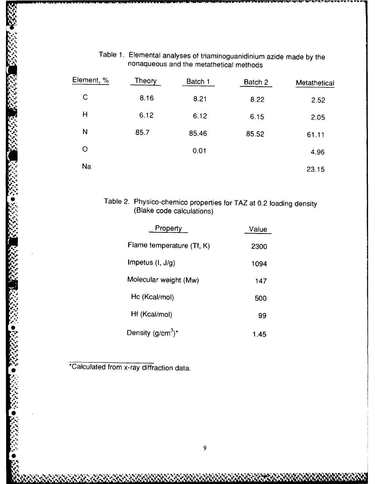| Ţ               | Element, %  | Theory | Batch 1 | Batch 2 | Metathetical |
|-----------------|-------------|--------|---------|---------|--------------|
| $-1.77.7$<br>٠, | $\mathsf C$ | 8.16   | 8.21    | 8.22    | 2.52         |
| h.              | H           | 6.12   | 6.12    | 6.15    | 2.05         |
| A.              | N           | 85.7   | 85.46   | 85.52   | 61.11        |
| Ō.              | $\circ$     |        | 0.01    |         | 4.96         |
| ़               | Na          |        |         |         | 23.15        |

## Table 1. Elemental analyses of triaminoguanidinium azide made by the nonaqueous and the metathetical methods

# **<sup>0</sup>**Table 2. Physico-chemico properties for TAZ at 0.2 loading density (Blake code calculations)

| Property                      | Value |
|-------------------------------|-------|
| Flame temperature (Tf, K)     | 2300  |
| Impetus $(l, J/q)$            | 1094  |
| Molecular weight (Mw)         | 147   |
| Hc (Kcal/mol)                 | 500   |
| Hf (Kcal/mol)                 | 99    |
| Density (g/cm <sup>3</sup> )* | 1.45  |

\*Calculated from x-ray diffraction data.

**V. '.% 0**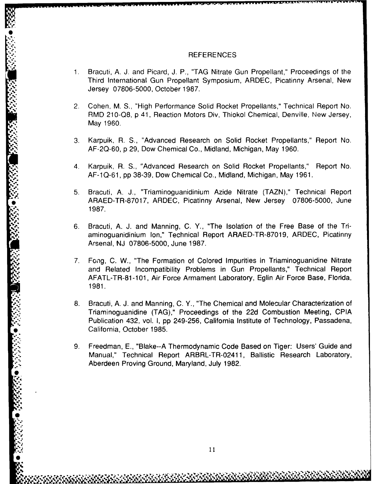#### **REFERENCES**

- 1. Bracuti, A. J. and Picard, J. P., "TAG Nitrate Gun Propellant," Proceedings of the Third International Gun Propellant Symposium, ARDEC, Picatinny Arsenal, New Jersey 07806-5000, October 1987.
- 2. Cohen, M. S., "High Performance Solid Rocket Propellants," Technical Report No. RMD 210-Q8, p 41, Reaction Motors Div, Thiokol Chemical, Denville, New Jersey, May 1960.
- 3. Karpuik, R. S., "Advanced Research on Solid Rocket Propellants," Report No. AF-2Q-60, p 29, Dow Chemical Co., Midland, Michigan, May 1960.
- 4. Karpuik, R. S., "Advanced Research on Solid Rocket Propellants," Report No. AF-1Q-61, pp 38-39, Dow Chemical Co., Midland, Michigan, May 1961.
- 5. Bracuti, A. J., "Triaminoguanidinium Azide Nitrate (TAZN)," Technical Report ARAED-TR-87017, ARDEC, Picatinny Arsenal, New Jersey 07806-5000, June 1987.
- 6. Bracuti, A. **J.** and Manning, C. Y., "The Isolation of the Free Base of the Triaminoguanidinium Ion," Technical Report ARAED-TR-87019, ARDEC, Picatinny Arsenal, NJ 07806-5000, June 1987.
- 7. Fong, C. W., "The Formation of Colored Impurities in Triaminoguanidine Nitrate and Related Incompatibility Problems in Gun Propellants," Technical Report AFATL-TR-81-101, Air Force Armament Laboratory, Eglin Air Force Base, Florida, **1981.**
- 8. Bracuti, A. J. and Manning, C. Y., "The Chemical and Molecular Characterization of Triaminoguanidine (TAG)," Proceedings of the 22d Combustion Meeting, CPIA Publication 432, vol. I, pp 249-256, California Institute of Technology, Passadena, California, October 1985.
- 9. Freedman, E., "Blake--A Thermodynamic Code Based on Tiger: Users' Guide and Manual," Technical Report ARBFL-TR-0241 1, Ballistic Research Laboratory, Aberdeen Proving Ground, Maryland, July 1982.

"-S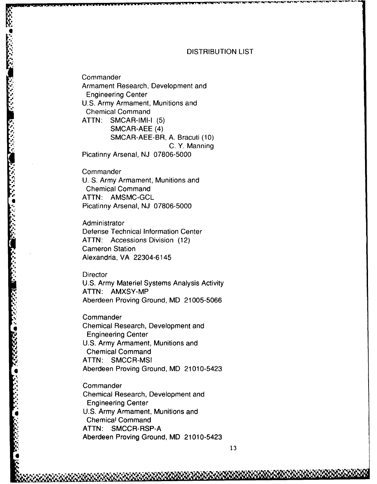#### DISTRIBUTION LIST

**Commander** Armament Research, Development and Engineering Center U.S. Army Armament, Munitions and Chemical Command ATTN: SMCAR-IMI-I (5) SMCAR-AEE (4) SMCAR-AEE-BR, A. Bracuti (10) C. Y. Manning Picatinny Arsenal, **NJ 07806-5000**

**Commander** U. S. Army Armament, Munitions and Chemical Command **a** ATTN: AMSMC-GCL Picatinny Arsenal, NJ 07806-5000

Administrator Defense Technical Information Center ATTN: Accessions Division (12) Cameron Station **.'.** Alexandria, VA 22304-6145

**Director** U.S. Army Materiel Systems Analysis Activity ATTN: AMXSY-MP Aberdeen Proving Ground, MD 21005-5066

**Commander I** Chemical Research, Development and Engineering Center U.S. Army Armament, Munitions and Chemical Command ATTN: SMCCR-MSI<br>Aberdeen Proving Ground, MD 21010-5423

**Commander** Chemical Research, Development and Engineering Center U.S. Army Armament, Munitions and Chemical Command **ATTN:** SMCCR-RSP-A Aberdeen Proving Ground, MD 21010-5423